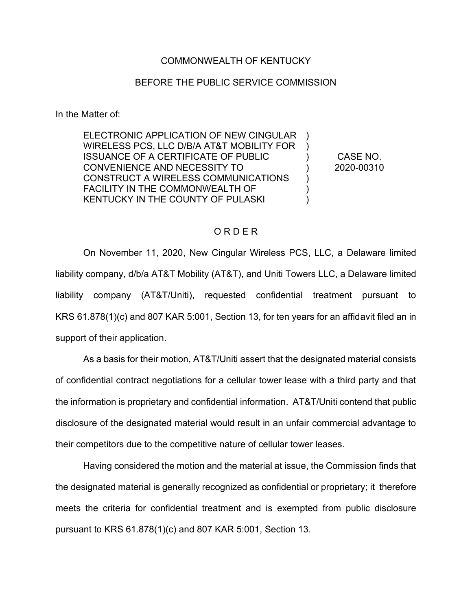## COMMONWEALTH OF KENTUCKY

## BEFORE THE PUBLIC SERVICE COMMISSION

In the Matter of:

ELECTRONIC APPLICATION OF NEW CINGULAR WIRELESS PCS, LLC D/B/A AT&T MOBILITY FOR ISSUANCE OF A CERTIFICATE OF PUBLIC CONVENIENCE AND NECESSITY TO CONSTRUCT A WIRELESS COMMUNICATIONS FACILITY IN THE COMMONWEALTH OF KENTUCKY IN THE COUNTY OF PULASKI  $\lambda$ ) )

) CASE NO. ) 2020-00310

)

)

## O R D E R

On November 11, 2020, New Cingular Wireless PCS, LLC, a Delaware limited liability company, d/b/a AT&T Mobility (AT&T), and Uniti Towers LLC, a Delaware limited liability company (AT&T/Uniti), requested confidential treatment pursuant to KRS 61.878(1)(c) and 807 KAR 5:001, Section 13, for ten years for an affidavit filed an in support of their application.

As a basis for their motion, AT&T/Uniti assert that the designated material consists of confidential contract negotiations for a cellular tower lease with a third party and that the information is proprietary and confidential information. AT&T/Uniti contend that public disclosure of the designated material would result in an unfair commercial advantage to their competitors due to the competitive nature of cellular tower leases.

Having considered the motion and the material at issue, the Commission finds that the designated material is generally recognized as confidential or proprietary; it therefore meets the criteria for confidential treatment and is exempted from public disclosure pursuant to KRS 61.878(1)(c) and 807 KAR 5:001, Section 13.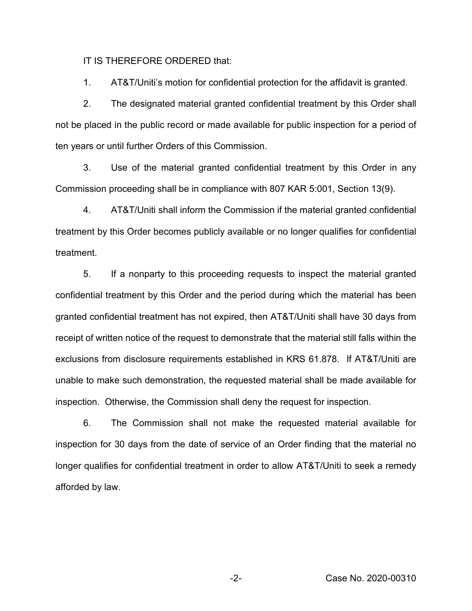IT IS THEREFORE ORDERED that:

1. AT&T/Uniti's motion for confidential protection for the affidavit is granted.

2. The designated material granted confidential treatment by this Order shall not be placed in the public record or made available for public inspection for a period of ten years or until further Orders of this Commission.

3. Use of the material granted confidential treatment by this Order in any Commission proceeding shall be in compliance with 807 KAR 5:001, Section 13(9).

4. AT&T/Uniti shall inform the Commission if the material granted confidential treatment by this Order becomes publicly available or no longer qualifies for confidential treatment.

5. If a nonparty to this proceeding requests to inspect the material granted confidential treatment by this Order and the period during which the material has been granted confidential treatment has not expired, then AT&T/Uniti shall have 30 days from receipt of written notice of the request to demonstrate that the material still falls within the exclusions from disclosure requirements established in KRS 61.878. If AT&T/Uniti are unable to make such demonstration, the requested material shall be made available for inspection. Otherwise, the Commission shall deny the request for inspection.

6. The Commission shall not make the requested material available for inspection for 30 days from the date of service of an Order finding that the material no longer qualifies for confidential treatment in order to allow AT&T/Uniti to seek a remedy afforded by law.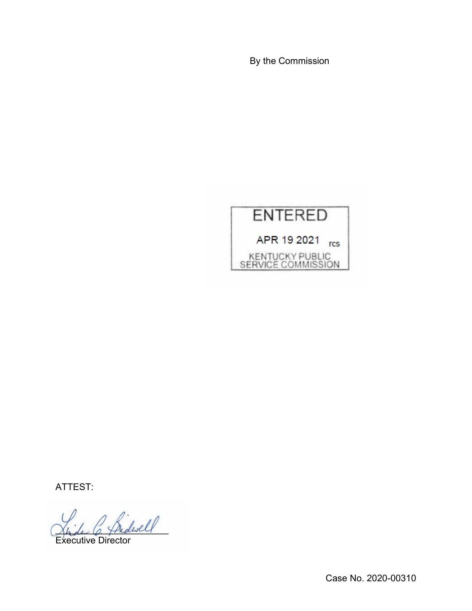By the Commission



ATTEST:

 $_{dwell}$ 

Executive Director

Case No. 2020-00310